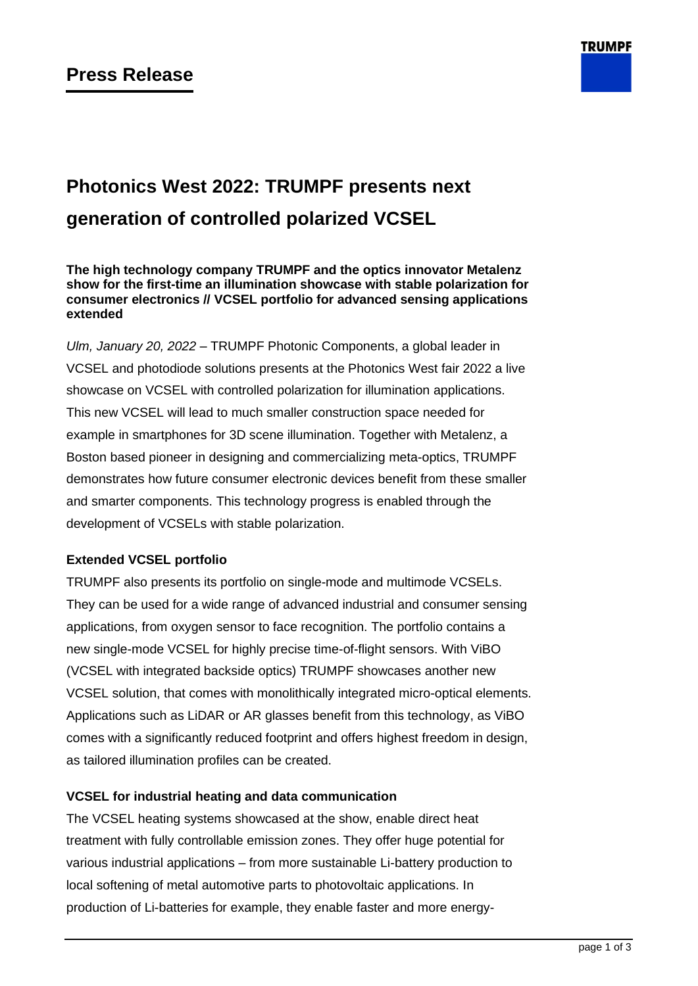

# **Photonics West 2022: TRUMPF presents next generation of controlled polarized VCSEL**

**The high technology company TRUMPF and the optics innovator Metalenz show for the first-time an illumination showcase with stable polarization for consumer electronics // VCSEL portfolio for advanced sensing applications extended**

*Ulm, January 20, 2022* – TRUMPF Photonic Components, a global leader in VCSEL and photodiode solutions presents at the Photonics West fair 2022 a live showcase on VCSEL with controlled polarization for illumination applications. This new VCSEL will lead to much smaller construction space needed for example in smartphones for 3D scene illumination. Together with Metalenz, a Boston based pioneer in designing and commercializing meta-optics, TRUMPF demonstrates how future consumer electronic devices benefit from these smaller and smarter components. This technology progress is enabled through the development of VCSELs with stable polarization.

# **Extended VCSEL portfolio**

TRUMPF also presents its portfolio on single-mode and multimode VCSELs. They can be used for a wide range of advanced industrial and consumer sensing applications, from oxygen sensor to face recognition. The portfolio contains a new single-mode VCSEL for highly precise time-of-flight sensors. With ViBO (VCSEL with integrated backside optics) TRUMPF showcases another new VCSEL solution, that comes with monolithically integrated micro-optical elements. Applications such as LiDAR or AR glasses benefit from this technology, as ViBO comes with a significantly reduced footprint and offers highest freedom in design, as tailored illumination profiles can be created.

# **VCSEL for industrial heating and data communication**

The VCSEL heating systems showcased at the show, enable direct heat treatment with fully controllable emission zones. They offer huge potential for various industrial applications – from more sustainable Li-battery production to local softening of metal automotive parts to photovoltaic applications. In production of Li-batteries for example, they enable faster and more energy-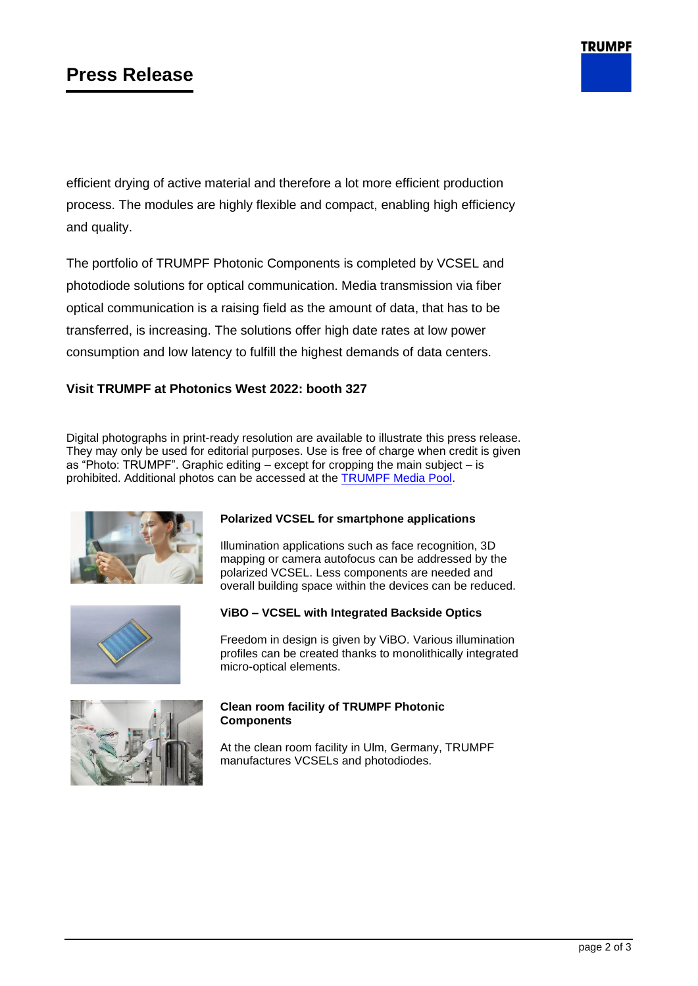# **Press Release**

efficient drying of active material and therefore a lot more efficient production process. The modules are highly flexible and compact, enabling high efficiency and quality.

The portfolio of TRUMPF Photonic Components is completed by VCSEL and photodiode solutions for optical communication. Media transmission via fiber optical communication is a raising field as the amount of data, that has to be transferred, is increasing. The solutions offer high date rates at low power consumption and low latency to fulfill the highest demands of data centers.

#### **Visit TRUMPF at Photonics West 2022: booth 327**

Digital photographs in print-ready resolution are available to illustrate this press release. They may only be used for editorial purposes. Use is free of charge when credit is given as "Photo: TRUMPF". Graphic editing – except for cropping the main subject – is prohibited. Additional photos can be accessed at the [TRUMPF Media Pool.](https://mediapool.trumpf.com/)



#### **Polarized VCSEL for smartphone applications**

Illumination applications such as face recognition, 3D mapping or camera autofocus can be addressed by the polarized VCSEL. Less components are needed and overall building space within the devices can be reduced.



### **ViBO – VCSEL with Integrated Backside Optics**

Freedom in design is given by ViBO. Various illumination profiles can be created thanks to monolithically integrated micro-optical elements.



#### **Clean room facility of TRUMPF Photonic Components**

At the clean room facility in Ulm, Germany, TRUMPF manufactures VCSELs and photodiodes.